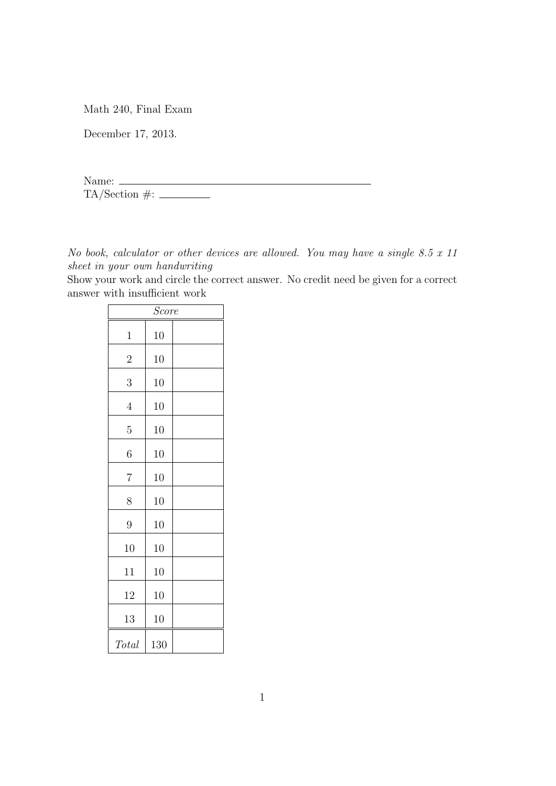Math 240, Final Exam

December 17, 2013.

Name: TA/Section #:

*No book, calculator or other devices are allowed. You may have a single 8.5 x 11 sheet in your own handwriting*

Show your work and circle the correct answer. No credit need be given for a correct answer with insufficient work

| Score          |     |  |
|----------------|-----|--|
| 1              | 10  |  |
| $\overline{2}$ | 10  |  |
| 3              | 10  |  |
| $\overline{4}$ | 10  |  |
| 5              | 10  |  |
| 6              | 10  |  |
| $\overline{7}$ | 10  |  |
| 8              | 10  |  |
| $\overline{9}$ | 10  |  |
| 10             | 10  |  |
| 11             | 10  |  |
| 12             | 10  |  |
| 13             | 10  |  |
| Total          | 130 |  |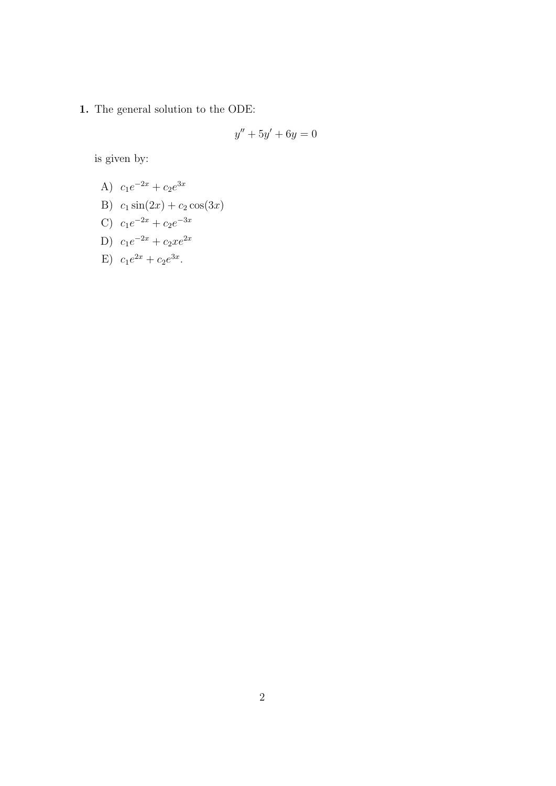1. The general solution to the ODE:

$$
y'' + 5y' + 6y = 0
$$

is given by:

- A)  $c_1e^{-2x} + c_2e^{3x}$
- B)  $c_1 \sin(2x) + c_2 \cos(3x)$
- C)  $c_1e^{-2x} + c_2e^{-3x}$
- D)  $c_1e^{-2x} + c_2xe^{2x}$
- E)  $c_1e^{2x} + c_2e^{3x}$ .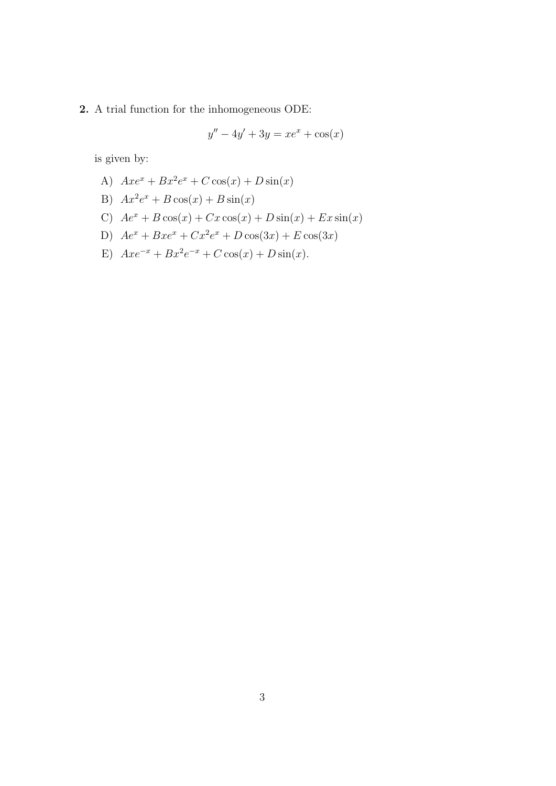**2.** A trial function for the inhomogeneous ODE:

$$
y'' - 4y' + 3y = xe^x + \cos(x)
$$

is given by:

A) 
$$
Axe^x + Bx^2e^x + C\cos(x) + D\sin(x)
$$

B) 
$$
Ax^2e^x + B\cos(x) + B\sin(x)
$$

- C)  $Ae^{x} + B\cos(x) + Cx\cos(x) + D\sin(x) + Ex\sin(x)$
- D)  $Ae^{x} + Bxe^{x} + Cx^{2}e^{x} + D\cos(3x) + E\cos(3x)$
- E)  $Axe^{-x} + Bx^2e^{-x} + C\cos(x) + D\sin(x)$ .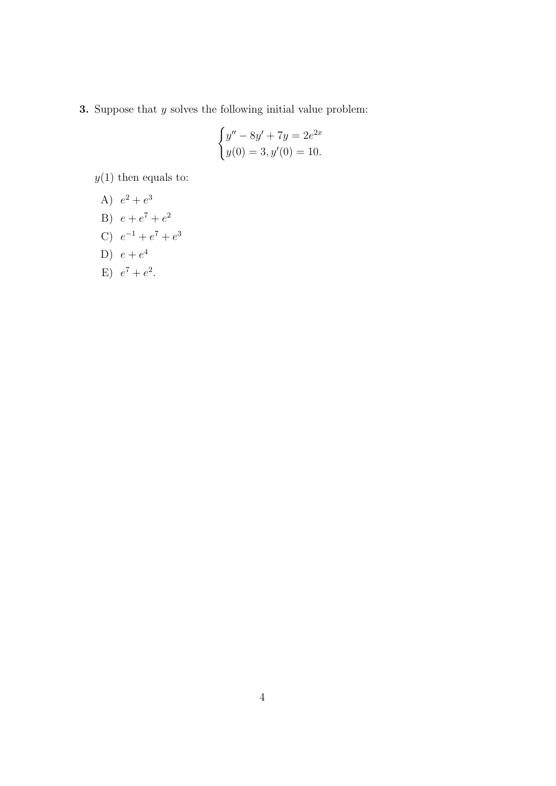**3.** Suppose that  $y$  solves the following initial value problem:

$$
\begin{cases} y'' - 8y' + 7y = 2e^{2x} \\ y(0) = 3, y'(0) = 10. \end{cases}
$$

 $y(1)$  then equals to:

$$
A) e2 + e3
$$

- B)  $e + e^7 + e^2$
- C)  $e^{-1} + e^7 + e^3$
- D)  $e + e^4$
- E)  $e^7 + e^2$ .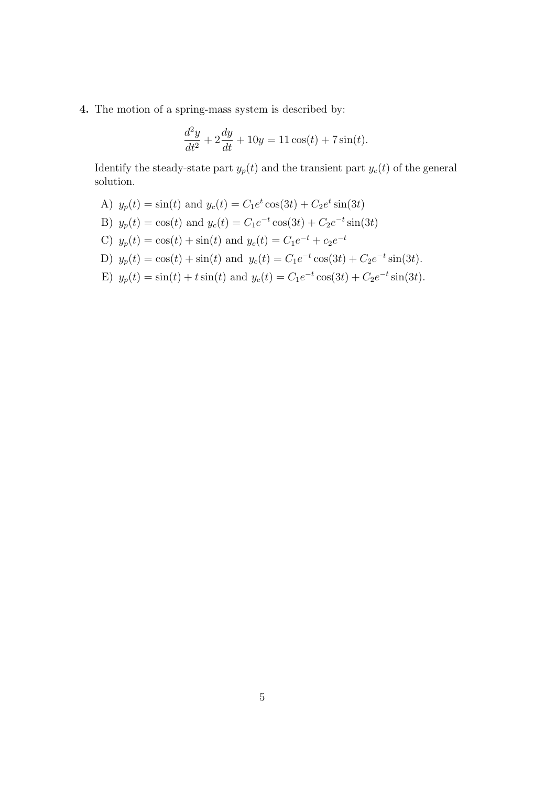**4.** The motion of a spring-mass system is described by:

$$
\frac{d^2y}{dt^2} + 2\frac{dy}{dt} + 10y = 11\cos(t) + 7\sin(t).
$$

Identify the steady-state part  $y_p(t)$  and the transient part  $y_c(t)$  of the general solution.

- A)  $y_p(t) = \sin(t)$  and  $y_c(t) = C_1 e^t \cos(3t) + C_2 e^t \sin(3t)$
- B)  $y_p(t) = \cos(t)$  and  $y_c(t) = C_1 e^{-t} \cos(3t) + C_2 e^{-t} \sin(3t)$
- C)  $y_p(t) = \cos(t) + \sin(t)$  and  $y_c(t) = C_1 e^{-t} + c_2 e^{-t}$
- D)  $y_p(t) = \cos(t) + \sin(t)$  and  $y_c(t) = C_1 e^{-t} \cos(3t) + C_2 e^{-t} \sin(3t)$ .
- E)  $y_p(t) = \sin(t) + t \sin(t)$  and  $y_c(t) = C_1 e^{-t} \cos(3t) + C_2 e^{-t} \sin(3t)$ .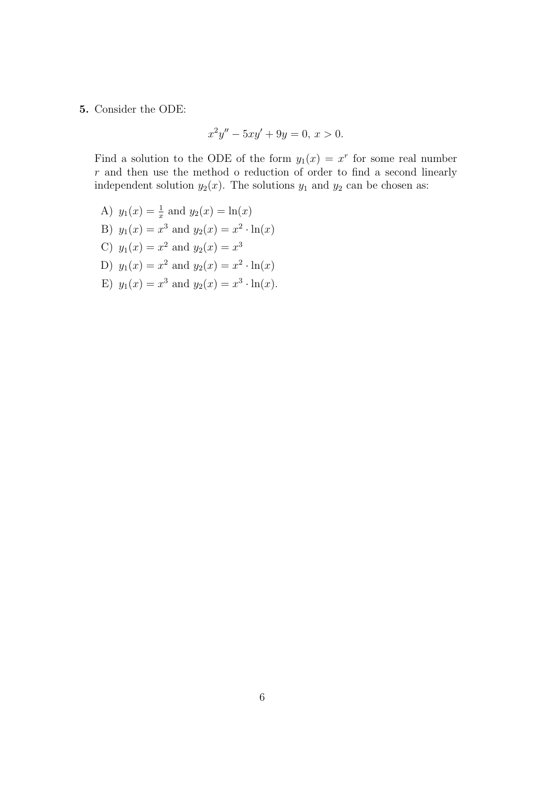## **5.** Consider the ODE:

$$
x^2y'' - 5xy' + 9y = 0, \, x > 0.
$$

Find a solution to the ODE of the form  $y_1(x) = x^r$  for some real number *r* and then use the method o reduction of order to find a second linearly independent solution  $y_2(x)$ . The solutions  $y_1$  and  $y_2$  can be chosen as:

- A)  $y_1(x) = \frac{1}{x}$  and  $y_2(x) = \ln(x)$ B)  $y_1(x) = x^3$  and  $y_2(x) = x^2 \cdot \ln(x)$ C)  $y_1(x) = x^2$  and  $y_2(x) = x^3$ D)  $y_1(x) = x^2$  and  $y_2(x) = x^2 \cdot \ln(x)$
- E)  $y_1(x) = x^3$  and  $y_2(x) = x^3 \cdot \ln(x)$ .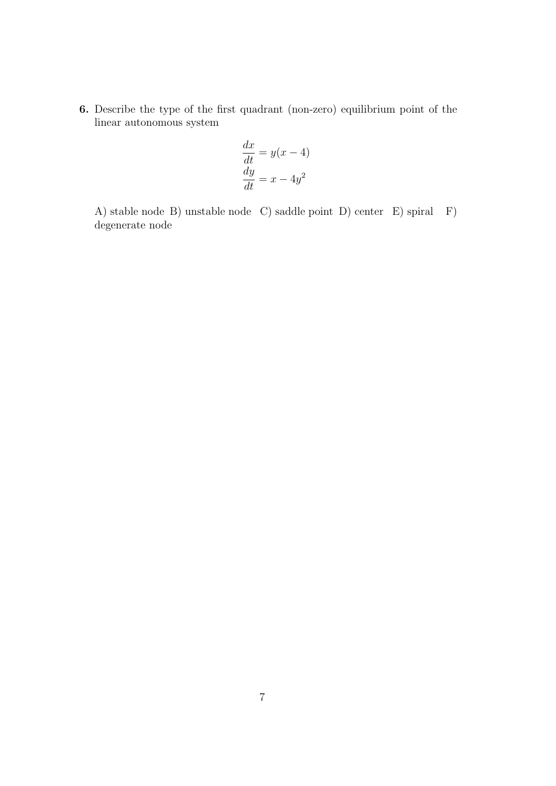**6.** Describe the type of the first quadrant (non-zero) equilibrium point of the linear autonomous system

$$
\frac{dx}{dt} = y(x - 4)
$$

$$
\frac{dy}{dt} = x - 4y^2
$$

A) stable node B) unstable node C) saddle point D) center E) spiral F) degenerate node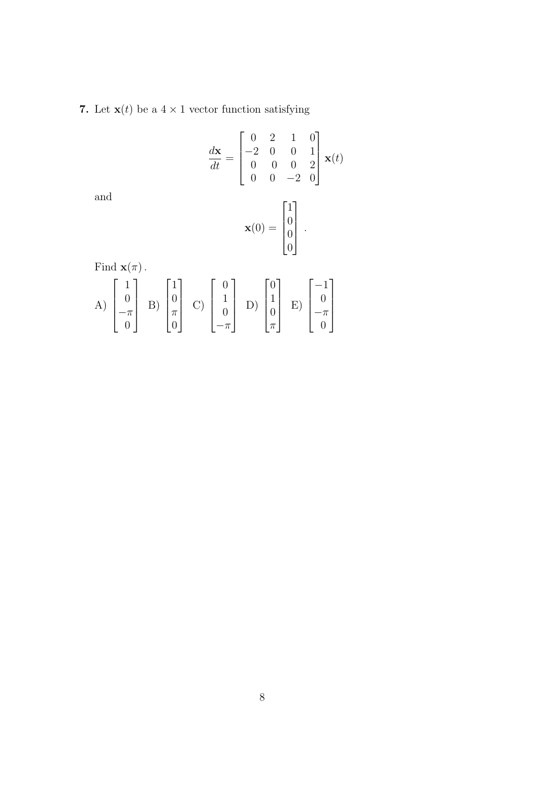**7.** Let **x**(*t*) be a  $4 \times 1$  vector function satisfying

$$
\frac{d\mathbf{x}}{dt} = \begin{bmatrix} 0 & 2 & 1 & 0 \\ -2 & 0 & 0 & 1 \\ 0 & 0 & 0 & 2 \\ 0 & 0 & -2 & 0 \end{bmatrix} \mathbf{x}(t)
$$

and

$$
\mathbf{x}(0) = \begin{bmatrix} 1 \\ 0 \\ 0 \\ 0 \end{bmatrix}.
$$

Find  $\mathbf{x}(\pi)$ .

A) 
$$
\begin{bmatrix} 1 \\ 0 \\ -\pi \\ 0 \end{bmatrix}
$$
 B)  $\begin{bmatrix} 1 \\ 0 \\ \pi \\ 0 \end{bmatrix}$  C)  $\begin{bmatrix} 0 \\ 1 \\ 0 \\ -\pi \end{bmatrix}$  D)  $\begin{bmatrix} 0 \\ 1 \\ 0 \\ \pi \end{bmatrix}$  E)  $\begin{bmatrix} -1 \\ 0 \\ -\pi \\ 0 \end{bmatrix}$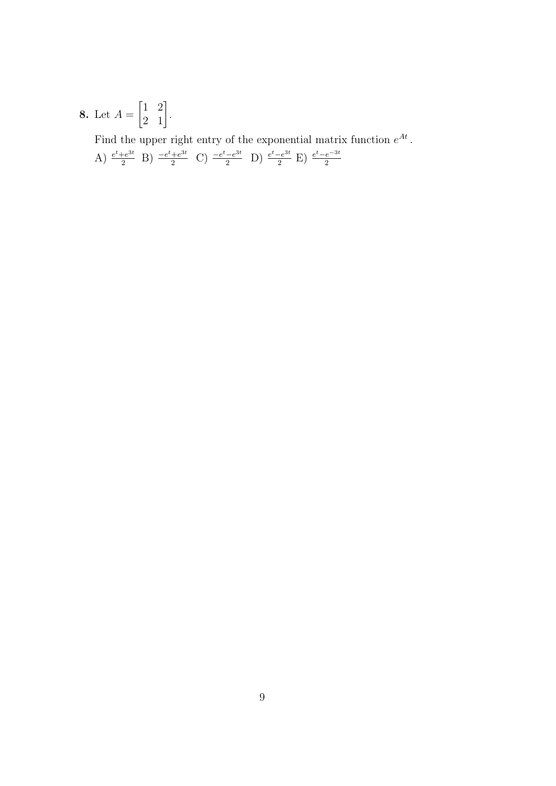**8.** Let  $A = \begin{bmatrix} 1 & 2 \\ 2 & 1 \end{bmatrix}$ . Find the upper right entry of the exponential matrix function  $e^{At}$ .<br>A)  $\frac{e^t + e^{3t}}{2}$  B)  $\frac{-e^t + e^{3t}}{2}$  C)  $\frac{-e^t - e^{3t}}{2}$  D)  $\frac{e^t - e^{3t}}{2}$  E)  $\frac{e^t - e^{-3t}}{2}$